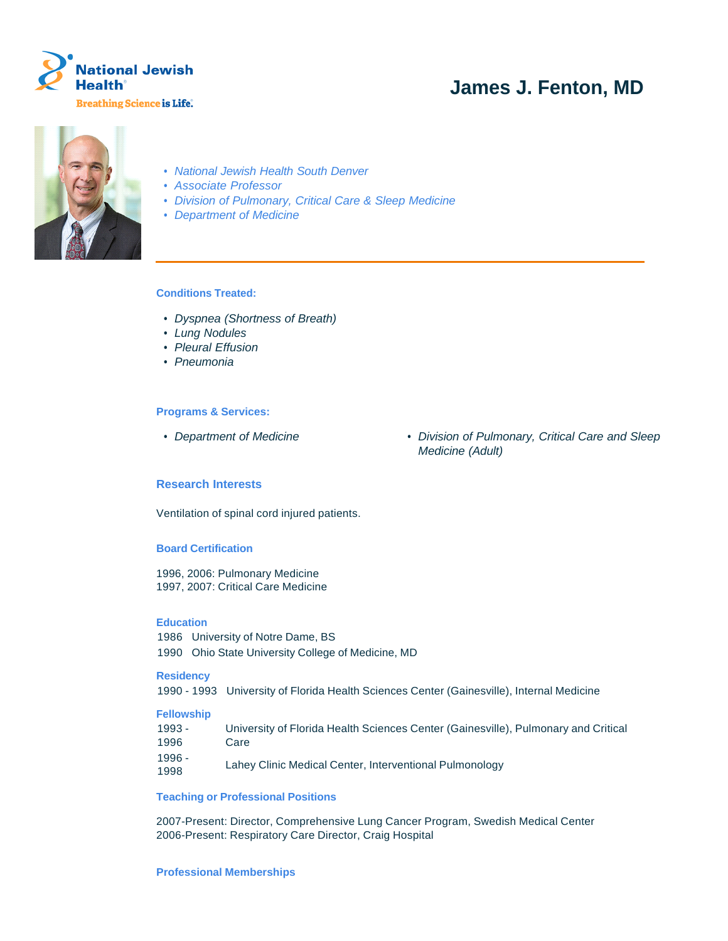

# **James J. Fenton, MD**



- National Jewish Health South Denver
- Associate Professor
- Division of Pulmonary, Critical Care & Sleep Medicine
- Department of Medicine

# **Conditions Treated:**

- Dyspnea (Shortness of Breath)
- Lung Nodules
- Pleural Effusion
- Pneumonia

## **Programs & Services:**

- 
- Department of Medicine  **Division of Pulmonary, Critical Care and Sleep** Medicine (Adult)

# **Research Interests**

Ventilation of spinal cord injured patients.

# **Board Certification**

1996, 2006: Pulmonary Medicine 1997, 2007: Critical Care Medicine

## **Education**

1986 University of Notre Dame, BS 1990 Ohio State University College of Medicine, MD

#### **Residency**

1990 - 1993 University of Florida Health Sciences Center (Gainesville), Internal Medicine

#### **Fellowship**

| $1993 -$       | University of Florida Health Sciences Center (Gainesville), Pulmonary and Critical |
|----------------|------------------------------------------------------------------------------------|
| 1996           | Care                                                                               |
| 1996 -<br>1998 | Lahev Clinic Medical Center, Interventional Pulmonology                            |

# **Teaching or Professional Positions**

2007-Present: Director, Comprehensive Lung Cancer Program, Swedish Medical Center 2006-Present: Respiratory Care Director, Craig Hospital

#### **Professional Memberships**